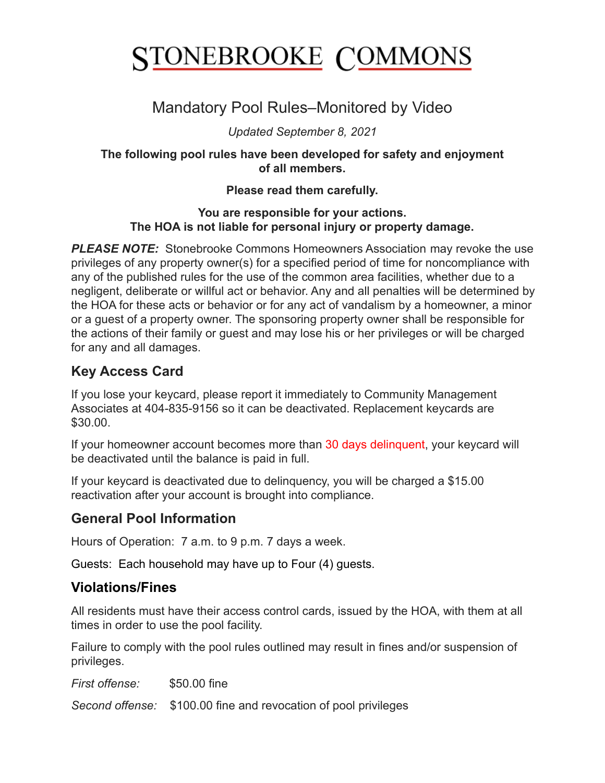# **STONEBROOKE COMMONS**

## Mandatory Pool Rules–Monitored by Video

*Updated September 8, 2021*

**The following pool rules have been developed for safety and enjoyment of all members.**

#### **Please read them carefully.**

#### **You are responsible for your actions. The HOA is not liable for personal injury or property damage.**

**PLEASE NOTE:** Stonebrooke Commons Homeowners Association may revoke the use privileges of any property owner(s) for a specified period of time for noncompliance with any of the published rules for the use of the common area facilities, whether due to a negligent, deliberate or willful act or behavior. Any and all penalties will be determined by the HOA for these acts or behavior or for any act of vandalism by a homeowner, a minor or a guest of a property owner. The sponsoring property owner shall be responsible for the actions of their family or guest and may lose his or her privileges or will be charged for any and all damages.

## **Key Access Card**

If you lose your keycard, please report it immediately to Community Management Associates at 404-835-9156 so it can be deactivated. Replacement keycards are \$30.00.

If your homeowner account becomes more than 30 days delinquent, your keycard will be deactivated until the balance is paid in full.

If your keycard is deactivated due to delinquency, you will be charged a \$15.00 reactivation after your account is brought into compliance.

## **General Pool Information**

Hours of Operation: 7 a.m. to 9 p.m. 7 days a week.

Guests: Each household may have up to Four (4) guests.

## **Violations/Fines**

All residents must have their access control cards, issued by the HOA, with them at all times in order to use the pool facility.

Failure to comply with the pool rules outlined may result in fines and/or suspension of privileges.

*First offense:* \$50.00 fine

*Second offense:* \$100.00 fine and revocation of pool privileges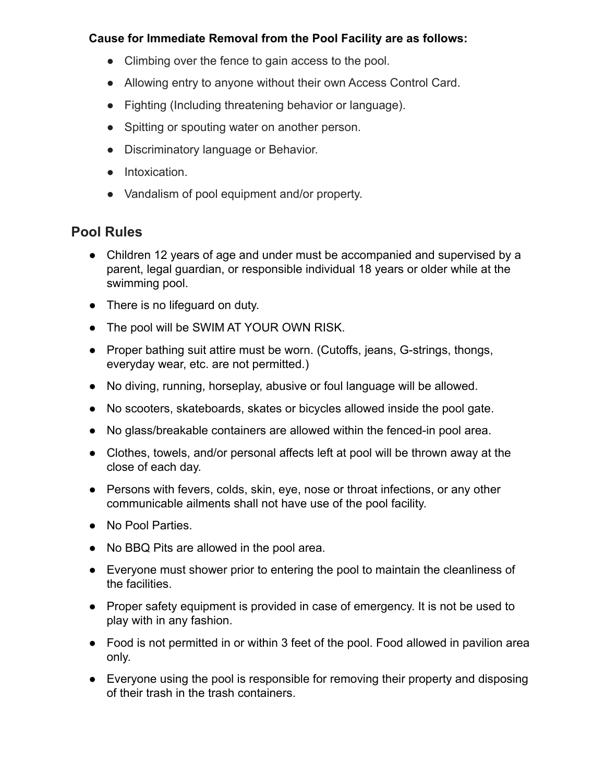#### **Cause for Immediate Removal from the Pool Facility are as follows:**

- Climbing over the fence to gain access to the pool.
- Allowing entry to anyone without their own Access Control Card.
- Fighting (Including threatening behavior or language).
- Spitting or spouting water on another person.
- Discriminatory language or Behavior.
- Intoxication.
- Vandalism of pool equipment and/or property.

#### **Pool Rules**

- Children 12 years of age and under must be accompanied and supervised by a parent, legal guardian, or responsible individual 18 years or older while at the swimming pool.
- There is no lifeguard on duty.
- The pool will be SWIM AT YOUR OWN RISK.
- Proper bathing suit attire must be worn. (Cutoffs, jeans, G-strings, thongs, everyday wear, etc. are not permitted.)
- No diving, running, horseplay, abusive or foul language will be allowed.
- No scooters, skateboards, skates or bicycles allowed inside the pool gate.
- No glass/breakable containers are allowed within the fenced-in pool area.
- Clothes, towels, and/or personal affects left at pool will be thrown away at the close of each day.
- Persons with fevers, colds, skin, eye, nose or throat infections, or any other communicable ailments shall not have use of the pool facility.
- No Pool Parties.
- No BBQ Pits are allowed in the pool area.
- Everyone must shower prior to entering the pool to maintain the cleanliness of the facilities.
- Proper safety equipment is provided in case of emergency. It is not be used to play with in any fashion.
- Food is not permitted in or within 3 feet of the pool. Food allowed in pavilion area only.
- Everyone using the pool is responsible for removing their property and disposing of their trash in the trash containers.